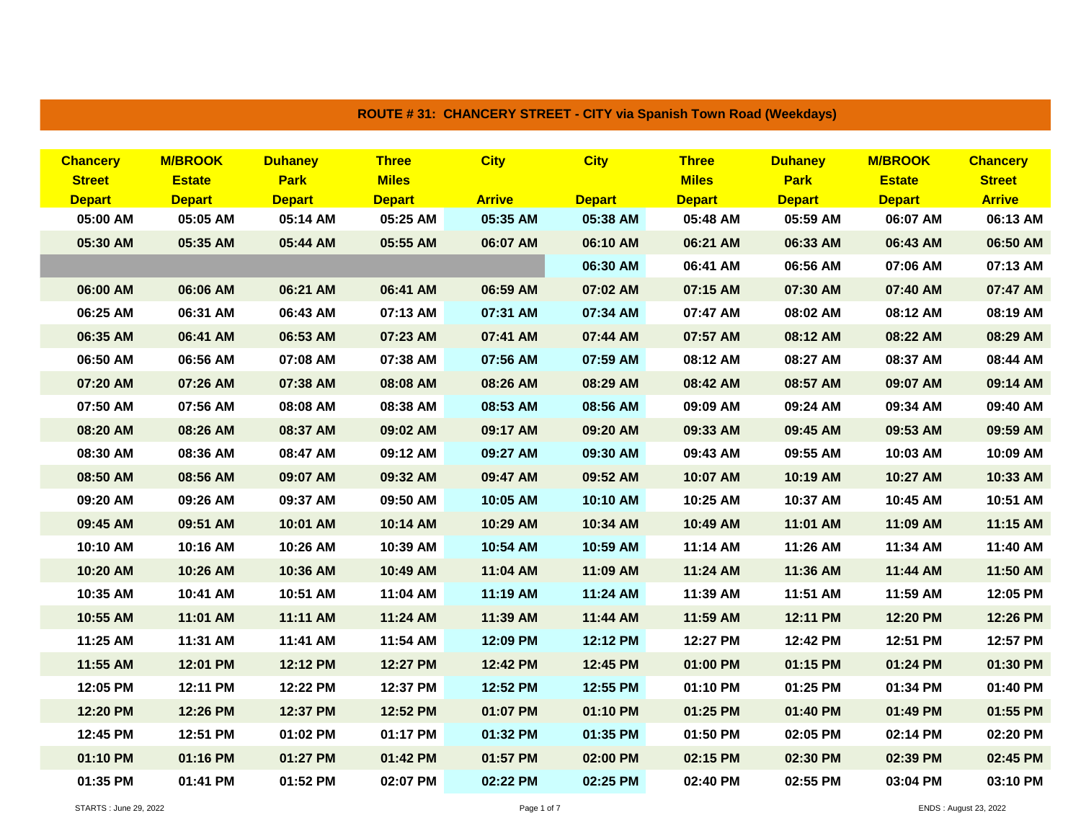| <b>Chancery</b><br><b>Street</b> | <b>M/BROOK</b><br><b>Estate</b> | <b>Duhaney</b><br><b>Park</b> | <b>Three</b><br><b>Miles</b> | <b>City</b>   | <b>City</b>   | <b>Three</b><br><b>Miles</b> | <b>Duhaney</b><br><b>Park</b> | <b>M/BROOK</b><br><b>Estate</b> | <b>Chancery</b><br><b>Street</b> |
|----------------------------------|---------------------------------|-------------------------------|------------------------------|---------------|---------------|------------------------------|-------------------------------|---------------------------------|----------------------------------|
| <b>Depart</b>                    | <b>Depart</b>                   | <b>Depart</b>                 | <b>Depart</b>                | <b>Arrive</b> | <b>Depart</b> | <b>Depart</b>                | <b>Depart</b>                 | <b>Depart</b>                   | <b>Arrive</b>                    |
| 05:00 AM                         | 05:05 AM                        | 05:14 AM                      | 05:25 AM                     | 05:35 AM      | 05:38 AM      | 05:48 AM                     | 05:59 AM                      | 06:07 AM                        | 06:13 AM                         |
| 05:30 AM                         | 05:35 AM                        | 05:44 AM                      | 05:55 AM                     | 06:07 AM      | 06:10 AM      | 06:21 AM                     | 06:33 AM                      | 06:43 AM                        | 06:50 AM                         |
|                                  |                                 |                               |                              |               | 06:30 AM      | 06:41 AM                     | 06:56 AM                      | 07:06 AM                        | 07:13 AM                         |
| 06:00 AM                         | 06:06 AM                        | 06:21 AM                      | 06:41 AM                     | 06:59 AM      | 07:02 AM      | 07:15 AM                     | 07:30 AM                      | 07:40 AM                        | 07:47 AM                         |
| 06:25 AM                         | 06:31 AM                        | 06:43 AM                      | 07:13 AM                     | 07:31 AM      | 07:34 AM      | 07:47 AM                     | 08:02 AM                      | 08:12 AM                        | 08:19 AM                         |
| 06:35 AM                         | 06:41 AM                        | 06:53 AM                      | 07:23 AM                     | 07:41 AM      | 07:44 AM      | 07:57 AM                     | 08:12 AM                      | 08:22 AM                        | 08:29 AM                         |
| 06:50 AM                         | 06:56 AM                        | 07:08 AM                      | 07:38 AM                     | 07:56 AM      | 07:59 AM      | 08:12 AM                     | 08:27 AM                      | 08:37 AM                        | 08:44 AM                         |
| 07:20 AM                         | 07:26 AM                        | 07:38 AM                      | 08:08 AM                     | 08:26 AM      | 08:29 AM      | 08:42 AM                     | 08:57 AM                      | 09:07 AM                        | 09:14 AM                         |
| 07:50 AM                         | 07:56 AM                        | 08:08 AM                      | 08:38 AM                     | 08:53 AM      | 08:56 AM      | 09:09 AM                     | 09:24 AM                      | 09:34 AM                        | 09:40 AM                         |
| 08:20 AM                         | 08:26 AM                        | 08:37 AM                      | 09:02 AM                     | 09:17 AM      | 09:20 AM      | 09:33 AM                     | 09:45 AM                      | 09:53 AM                        | 09:59 AM                         |
| 08:30 AM                         | 08:36 AM                        | 08:47 AM                      | 09:12 AM                     | 09:27 AM      | 09:30 AM      | 09:43 AM                     | 09:55 AM                      | 10:03 AM                        | 10:09 AM                         |
| 08:50 AM                         | 08:56 AM                        | 09:07 AM                      | 09:32 AM                     | 09:47 AM      | 09:52 AM      | 10:07 AM                     | 10:19 AM                      | 10:27 AM                        | 10:33 AM                         |
| 09:20 AM                         | 09:26 AM                        | 09:37 AM                      | 09:50 AM                     | 10:05 AM      | 10:10 AM      | 10:25 AM                     | 10:37 AM                      | 10:45 AM                        | 10:51 AM                         |
| 09:45 AM                         | 09:51 AM                        | 10:01 AM                      | 10:14 AM                     | 10:29 AM      | 10:34 AM      | 10:49 AM                     | 11:01 AM                      | 11:09 AM                        | 11:15 AM                         |
| 10:10 AM                         | 10:16 AM                        | 10:26 AM                      | 10:39 AM                     | 10:54 AM      | 10:59 AM      | 11:14 AM                     | 11:26 AM                      | 11:34 AM                        | 11:40 AM                         |
| 10:20 AM                         | 10:26 AM                        | 10:36 AM                      | 10:49 AM                     | 11:04 AM      | 11:09 AM      | 11:24 AM                     | 11:36 AM                      | 11:44 AM                        | 11:50 AM                         |
| 10:35 AM                         | 10:41 AM                        | 10:51 AM                      | 11:04 AM                     | 11:19 AM      | 11:24 AM      | 11:39 AM                     | 11:51 AM                      | 11:59 AM                        | 12:05 PM                         |
| 10:55 AM                         | 11:01 AM                        | 11:11 AM                      | 11:24 AM                     | 11:39 AM      | 11:44 AM      | 11:59 AM                     | 12:11 PM                      | 12:20 PM                        | 12:26 PM                         |
| 11:25 AM                         | 11:31 AM                        | 11:41 AM                      | 11:54 AM                     | 12:09 PM      | 12:12 PM      | 12:27 PM                     | 12:42 PM                      | 12:51 PM                        | 12:57 PM                         |
| 11:55 AM                         | 12:01 PM                        | 12:12 PM                      | 12:27 PM                     | 12:42 PM      | 12:45 PM      | 01:00 PM                     | 01:15 PM                      | 01:24 PM                        | 01:30 PM                         |
| 12:05 PM                         | 12:11 PM                        | 12:22 PM                      | 12:37 PM                     | 12:52 PM      | 12:55 PM      | 01:10 PM                     | 01:25 PM                      | 01:34 PM                        | 01:40 PM                         |
| 12:20 PM                         | 12:26 PM                        | 12:37 PM                      | 12:52 PM                     | 01:07 PM      | 01:10 PM      | 01:25 PM                     | 01:40 PM                      | 01:49 PM                        | 01:55 PM                         |
| 12:45 PM                         | 12:51 PM                        | 01:02 PM                      | 01:17 PM                     | 01:32 PM      | 01:35 PM      | 01:50 PM                     | 02:05 PM                      | 02:14 PM                        | 02:20 PM                         |
| 01:10 PM                         | 01:16 PM                        | 01:27 PM                      | 01:42 PM                     | 01:57 PM      | 02:00 PM      | 02:15 PM                     | 02:30 PM                      | 02:39 PM                        | 02:45 PM                         |
| 01:35 PM                         | 01:41 PM                        | 01:52 PM                      | 02:07 PM                     | 02:22 PM      | 02:25 PM      | 02:40 PM                     | 02:55 PM                      | 03:04 PM                        | 03:10 PM                         |

## **ROUTE # 31: CHANCERY STREET - CITY via Spanish Town Road (Weekdays)**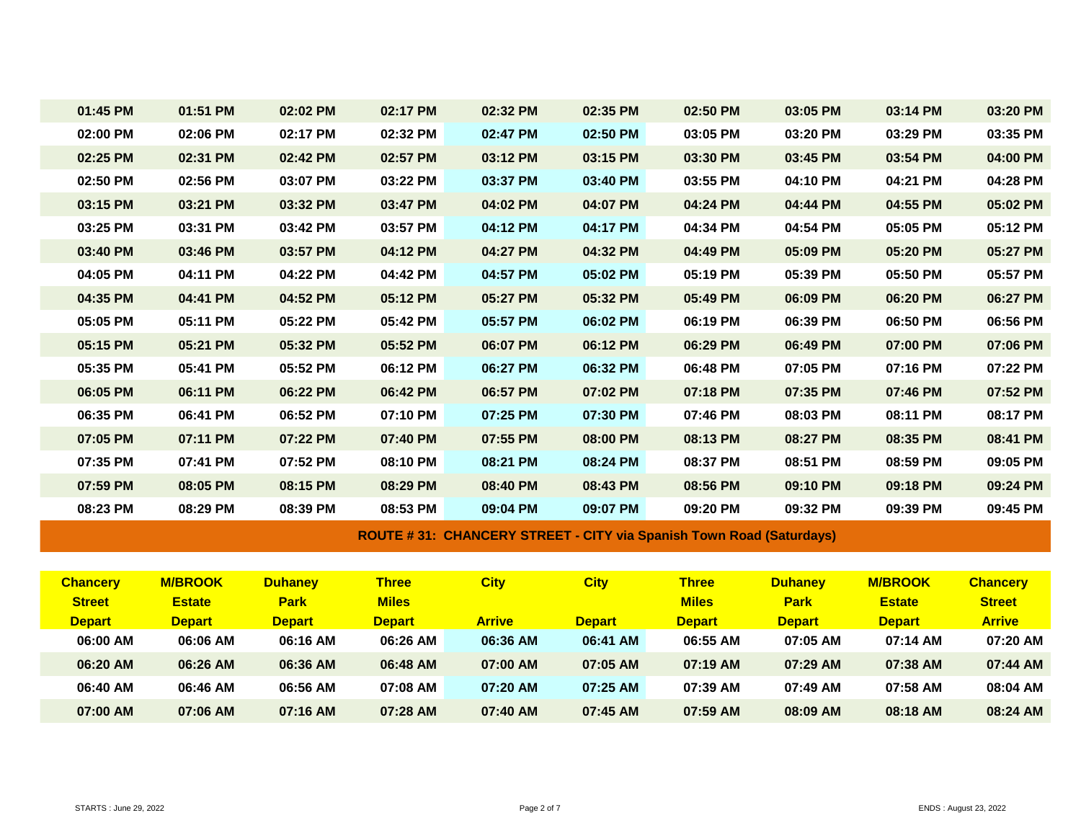| 01:45 PM        | 01:51 PM       | 02:02 PM       | 02:17 PM      | 02:32 PM                                                                   | 02:35 PM      | 02:50 PM      | 03:05 PM       | 03:14 PM       | 03:20 PM        |
|-----------------|----------------|----------------|---------------|----------------------------------------------------------------------------|---------------|---------------|----------------|----------------|-----------------|
| 02:00 PM        | 02:06 PM       | 02:17 PM       | 02:32 PM      | 02:47 PM                                                                   | 02:50 PM      | 03:05 PM      | 03:20 PM       | 03:29 PM       | 03:35 PM        |
| 02:25 PM        | 02:31 PM       | 02:42 PM       | 02:57 PM      | 03:12 PM                                                                   | 03:15 PM      | 03:30 PM      | 03:45 PM       | 03:54 PM       | 04:00 PM        |
| 02:50 PM        | 02:56 PM       | 03:07 PM       | 03:22 PM      | 03:37 PM                                                                   | 03:40 PM      | 03:55 PM      | 04:10 PM       | 04:21 PM       | 04:28 PM        |
| 03:15 PM        | 03:21 PM       | 03:32 PM       | 03:47 PM      | 04:02 PM                                                                   | 04:07 PM      | 04:24 PM      | 04:44 PM       | 04:55 PM       | 05:02 PM        |
| 03:25 PM        | 03:31 PM       | 03:42 PM       | 03:57 PM      | 04:12 PM                                                                   | 04:17 PM      | 04:34 PM      | 04:54 PM       | 05:05 PM       | 05:12 PM        |
| 03:40 PM        | 03:46 PM       | 03:57 PM       | 04:12 PM      | 04:27 PM                                                                   | 04:32 PM      | 04:49 PM      | 05:09 PM       | 05:20 PM       | 05:27 PM        |
| 04:05 PM        | 04:11 PM       | 04:22 PM       | 04:42 PM      | 04:57 PM                                                                   | 05:02 PM      | 05:19 PM      | 05:39 PM       | 05:50 PM       | 05:57 PM        |
| 04:35 PM        | 04:41 PM       | 04:52 PM       | 05:12 PM      | 05:27 PM                                                                   | 05:32 PM      | 05:49 PM      | 06:09 PM       | 06:20 PM       | 06:27 PM        |
| 05:05 PM        | 05:11 PM       | 05:22 PM       | 05:42 PM      | 05:57 PM                                                                   | 06:02 PM      | 06:19 PM      | 06:39 PM       | 06:50 PM       | 06:56 PM        |
| 05:15 PM        | 05:21 PM       | 05:32 PM       | 05:52 PM      | 06:07 PM                                                                   | 06:12 PM      | 06:29 PM      | 06:49 PM       | 07:00 PM       | 07:06 PM        |
| 05:35 PM        | 05:41 PM       | 05:52 PM       | 06:12 PM      | 06:27 PM                                                                   | 06:32 PM      | 06:48 PM      | 07:05 PM       | 07:16 PM       | 07:22 PM        |
| 06:05 PM        | 06:11 PM       | 06:22 PM       | 06:42 PM      | 06:57 PM                                                                   | 07:02 PM      | 07:18 PM      | 07:35 PM       | 07:46 PM       | 07:52 PM        |
| 06:35 PM        | 06:41 PM       | 06:52 PM       | 07:10 PM      | 07:25 PM                                                                   | 07:30 PM      | 07:46 PM      | 08:03 PM       | 08:11 PM       | 08:17 PM        |
| 07:05 PM        | 07:11 PM       | 07:22 PM       | 07:40 PM      | 07:55 PM                                                                   | 08:00 PM      | 08:13 PM      | 08:27 PM       | 08:35 PM       | 08:41 PM        |
| 07:35 PM        | 07:41 PM       | 07:52 PM       | 08:10 PM      | 08:21 PM                                                                   | 08:24 PM      | 08:37 PM      | 08:51 PM       | 08:59 PM       | 09:05 PM        |
| 07:59 PM        | 08:05 PM       | 08:15 PM       | 08:29 PM      | 08:40 PM                                                                   | 08:43 PM      | 08:56 PM      | 09:10 PM       | 09:18 PM       | 09:24 PM        |
| 08:23 PM        | 08:29 PM       | 08:39 PM       | 08:53 PM      | 09:04 PM                                                                   | 09:07 PM      | 09:20 PM      | 09:32 PM       | 09:39 PM       | 09:45 PM        |
|                 |                |                |               | <b>ROUTE #31: CHANCERY STREET - CITY via Spanish Town Road (Saturdays)</b> |               |               |                |                |                 |
|                 |                |                |               |                                                                            |               |               |                |                |                 |
| <b>Chancery</b> | <b>M/BROOK</b> | <b>Duhaney</b> | <b>Three</b>  | <b>City</b>                                                                | <b>City</b>   | <b>Three</b>  | <b>Duhaney</b> | <b>M/BROOK</b> | <b>Chancery</b> |
| <b>Street</b>   | <b>Estate</b>  | <b>Park</b>    | <b>Miles</b>  |                                                                            |               | <b>Miles</b>  | <b>Park</b>    | <b>Estate</b>  | <b>Street</b>   |
| <b>Depart</b>   | <b>Depart</b>  | <b>Depart</b>  | <b>Depart</b> | <b>Arrive</b>                                                              | <b>Depart</b> | <b>Depart</b> | <b>Depart</b>  | <b>Depart</b>  | <b>Arrive</b>   |
| 06:00 AM        | 06:06 AM       | 06:16 AM       | 06:26 AM      | 06:36 AM                                                                   | 06:41 AM      | 06:55 AM      | 07:05 AM       | 07:14 AM       | 07:20 AM        |
| 06:20 AM        | 06:26 AM       | 06:36 AM       | 06:48 AM      | 07:00 AM                                                                   | 07:05 AM      | 07:19 AM      | 07:29 AM       | 07:38 AM       | 07:44 AM        |
| 06:40 AM        | 06:46 AM       | 06:56 AM       | 07:08 AM      | 07:20 AM                                                                   | 07:25 AM      | 07:39 AM      | 07:49 AM       | 07:58 AM       | 08:04 AM        |
| 07:00 AM        | 07:06 AM       | 07:16 AM       | 07:28 AM      | 07:40 AM                                                                   | 07:45 AM      | 07:59 AM      | 08:09 AM       | 08:18 AM       | 08:24 AM        |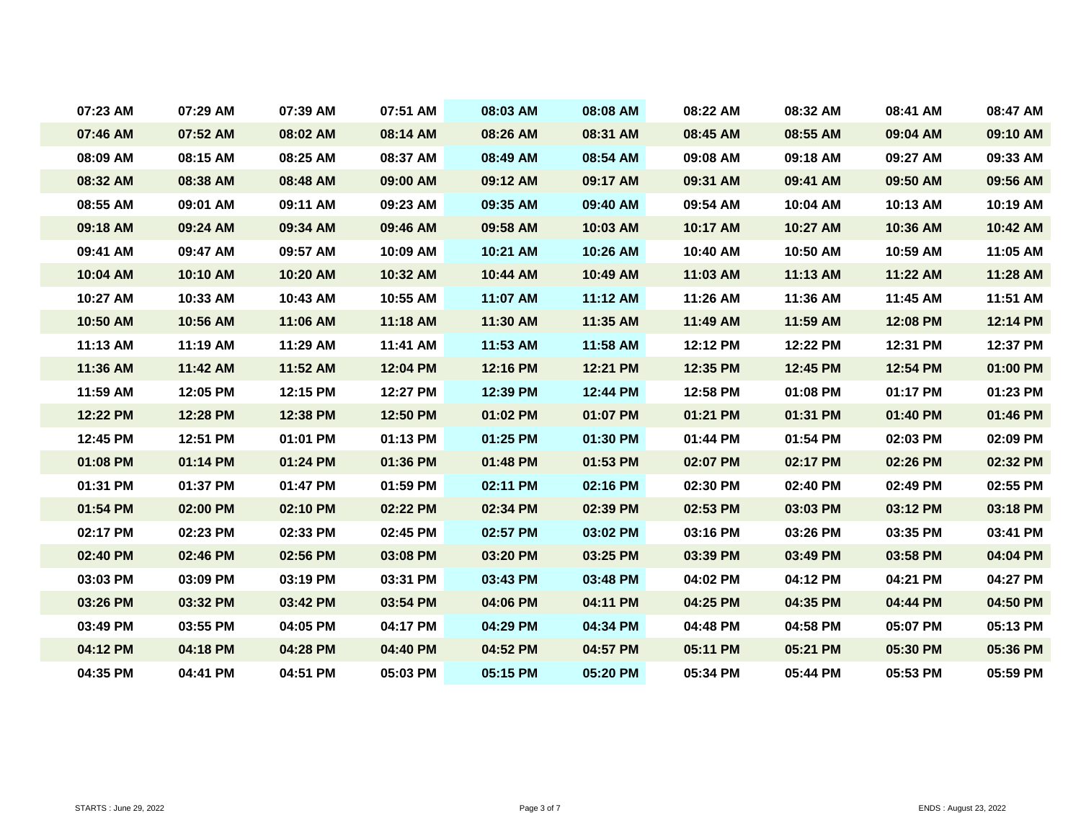| 07:23 AM | 07:29 AM | 07:39 AM | 07:51 AM | 08:03 AM | 08:08 AM | 08:22 AM | 08:32 AM | 08:41 AM | 08:47 AM |
|----------|----------|----------|----------|----------|----------|----------|----------|----------|----------|
| 07:46 AM | 07:52 AM | 08:02 AM | 08:14 AM | 08:26 AM | 08:31 AM | 08:45 AM | 08:55 AM | 09:04 AM | 09:10 AM |
| 08:09 AM | 08:15 AM | 08:25 AM | 08:37 AM | 08:49 AM | 08:54 AM | 09:08 AM | 09:18 AM | 09:27 AM | 09:33 AM |
| 08:32 AM | 08:38 AM | 08:48 AM | 09:00 AM | 09:12 AM | 09:17 AM | 09:31 AM | 09:41 AM | 09:50 AM | 09:56 AM |
| 08:55 AM | 09:01 AM | 09:11 AM | 09:23 AM | 09:35 AM | 09:40 AM | 09:54 AM | 10:04 AM | 10:13 AM | 10:19 AM |
| 09:18 AM | 09:24 AM | 09:34 AM | 09:46 AM | 09:58 AM | 10:03 AM | 10:17 AM | 10:27 AM | 10:36 AM | 10:42 AM |
| 09:41 AM | 09:47 AM | 09:57 AM | 10:09 AM | 10:21 AM | 10:26 AM | 10:40 AM | 10:50 AM | 10:59 AM | 11:05 AM |
| 10:04 AM | 10:10 AM | 10:20 AM | 10:32 AM | 10:44 AM | 10:49 AM | 11:03 AM | 11:13 AM | 11:22 AM | 11:28 AM |
| 10:27 AM | 10:33 AM | 10:43 AM | 10:55 AM | 11:07 AM | 11:12 AM | 11:26 AM | 11:36 AM | 11:45 AM | 11:51 AM |
| 10:50 AM | 10:56 AM | 11:06 AM | 11:18 AM | 11:30 AM | 11:35 AM | 11:49 AM | 11:59 AM | 12:08 PM | 12:14 PM |
| 11:13 AM | 11:19 AM | 11:29 AM | 11:41 AM | 11:53 AM | 11:58 AM | 12:12 PM | 12:22 PM | 12:31 PM | 12:37 PM |
| 11:36 AM | 11:42 AM | 11:52 AM | 12:04 PM | 12:16 PM | 12:21 PM | 12:35 PM | 12:45 PM | 12:54 PM | 01:00 PM |
| 11:59 AM | 12:05 PM | 12:15 PM | 12:27 PM | 12:39 PM | 12:44 PM | 12:58 PM | 01:08 PM | 01:17 PM | 01:23 PM |
| 12:22 PM | 12:28 PM | 12:38 PM | 12:50 PM | 01:02 PM | 01:07 PM | 01:21 PM | 01:31 PM | 01:40 PM | 01:46 PM |
| 12:45 PM | 12:51 PM | 01:01 PM | 01:13 PM | 01:25 PM | 01:30 PM | 01:44 PM | 01:54 PM | 02:03 PM | 02:09 PM |
| 01:08 PM | 01:14 PM | 01:24 PM | 01:36 PM | 01:48 PM | 01:53 PM | 02:07 PM | 02:17 PM | 02:26 PM | 02:32 PM |
| 01:31 PM | 01:37 PM | 01:47 PM | 01:59 PM | 02:11 PM | 02:16 PM | 02:30 PM | 02:40 PM | 02:49 PM | 02:55 PM |
| 01:54 PM | 02:00 PM | 02:10 PM | 02:22 PM | 02:34 PM | 02:39 PM | 02:53 PM | 03:03 PM | 03:12 PM | 03:18 PM |
| 02:17 PM | 02:23 PM | 02:33 PM | 02:45 PM | 02:57 PM | 03:02 PM | 03:16 PM | 03:26 PM | 03:35 PM | 03:41 PM |
| 02:40 PM | 02:46 PM | 02:56 PM | 03:08 PM | 03:20 PM | 03:25 PM | 03:39 PM | 03:49 PM | 03:58 PM | 04:04 PM |
| 03:03 PM | 03:09 PM | 03:19 PM | 03:31 PM | 03:43 PM | 03:48 PM | 04:02 PM | 04:12 PM | 04:21 PM | 04:27 PM |
| 03:26 PM | 03:32 PM | 03:42 PM | 03:54 PM | 04:06 PM | 04:11 PM | 04:25 PM | 04:35 PM | 04:44 PM | 04:50 PM |
| 03:49 PM | 03:55 PM | 04:05 PM | 04:17 PM | 04:29 PM | 04:34 PM | 04:48 PM | 04:58 PM | 05:07 PM | 05:13 PM |
| 04:12 PM | 04:18 PM | 04:28 PM | 04:40 PM | 04:52 PM | 04:57 PM | 05:11 PM | 05:21 PM | 05:30 PM | 05:36 PM |
| 04:35 PM | 04:41 PM | 04:51 PM | 05:03 PM | 05:15 PM | 05:20 PM | 05:34 PM | 05:44 PM | 05:53 PM | 05:59 PM |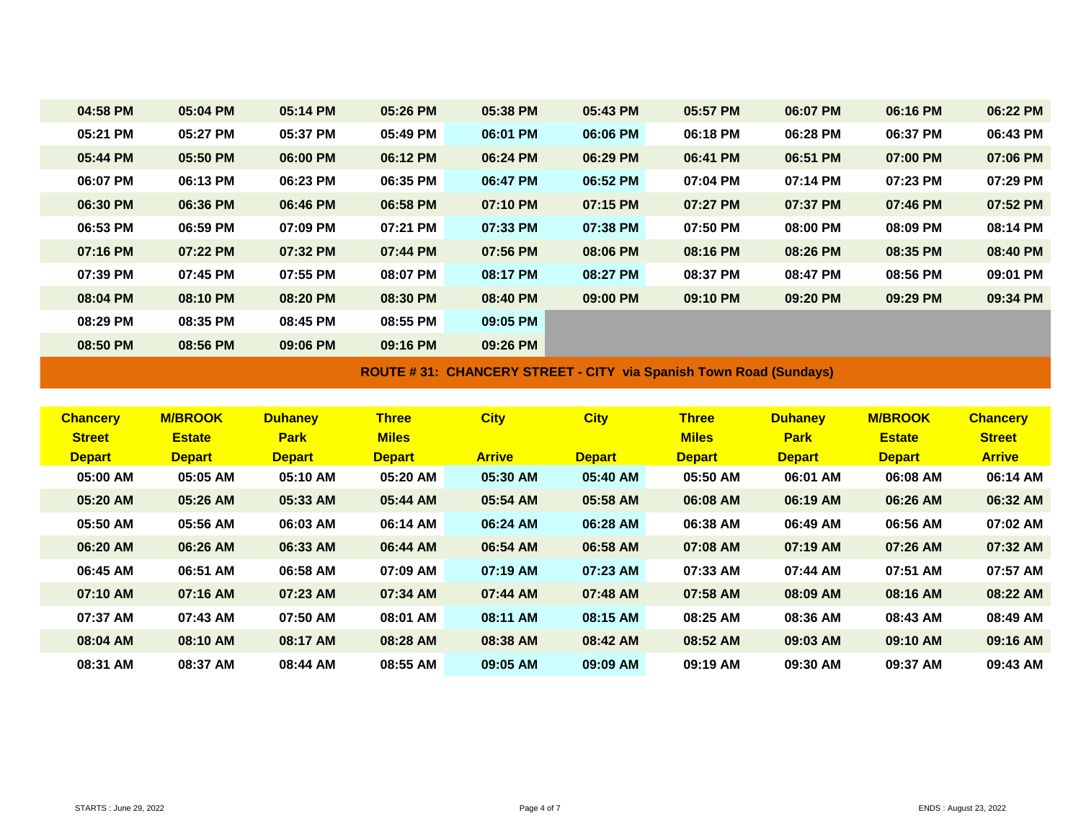| 04:58 PM<br>05:04 PM<br>05:14 PM<br>05:26 PM<br>05:38 PM<br>05:43 PM<br>05:57 PM<br>06:07 PM<br>06:16 PM<br>05:21 PM<br>05:27 PM<br>05:37 PM<br>05:49 PM<br>06:01 PM<br>06:06 PM<br>06:18 PM<br>06:37 PM<br>06:28 PM<br>05:50 PM<br>06:29 PM<br>05:44 PM<br>06:00 PM<br>06:12 PM<br>06:24 PM<br>06:41 PM<br>06:51 PM<br>07:00 PM | 06:22 PM<br>06:43 PM<br>07:06 PM |
|----------------------------------------------------------------------------------------------------------------------------------------------------------------------------------------------------------------------------------------------------------------------------------------------------------------------------------|----------------------------------|
|                                                                                                                                                                                                                                                                                                                                  |                                  |
|                                                                                                                                                                                                                                                                                                                                  |                                  |
|                                                                                                                                                                                                                                                                                                                                  |                                  |
| 06:52 PM<br>06:07 PM<br>06:13 PM<br>06:35 PM<br>06:47 PM<br>07:23 PM<br>06:23 PM<br>07:04 PM<br>07:14 PM                                                                                                                                                                                                                         | 07:29 PM                         |
| 07:15 PM<br>06:30 PM<br>06:36 PM<br>06:46 PM<br>06:58 PM<br>07:10 PM<br>07:27 PM<br>07:37 PM<br>07:46 PM                                                                                                                                                                                                                         | 07:52 PM                         |
| 07:38 PM<br>06:53 PM<br>06:59 PM<br>07:21 PM<br>07:33 PM<br>07:50 PM<br>08:00 PM<br>08:09 PM<br>07:09 PM                                                                                                                                                                                                                         | 08:14 PM                         |
| 07:22 PM<br>07:56 PM<br>08:06 PM<br>07:16 PM<br>07:32 PM<br>07:44 PM<br>08:16 PM<br>08:35 PM<br>08:26 PM                                                                                                                                                                                                                         | 08:40 PM                         |
| 07:39 PM<br>07:45 PM<br>07:55 PM<br>08:07 PM<br>08:17 PM<br>08:27 PM<br>08:47 PM<br>08:56 PM<br>08:37 PM                                                                                                                                                                                                                         | 09:01 PM                         |
| 08:04 PM<br>08:10 PM<br>08:20 PM<br>08:30 PM<br>08:40 PM<br>09:29 PM<br>09:00 PM<br>09:10 PM<br>09:20 PM                                                                                                                                                                                                                         | 09:34 PM                         |
| 08:35 PM<br>09:05 PM<br>08:45 PM<br>08:55 PM<br>08:29 PM                                                                                                                                                                                                                                                                         |                                  |
| 09:26 PM<br>08:50 PM<br>08:56 PM<br>09:06 PM<br>09:16 PM                                                                                                                                                                                                                                                                         |                                  |

**ROUTE # 31: CHANCERY STREET - CITY via Spanish Town Road (Sundays)**

| <b>Chancery</b><br><b>Street</b> | <b>M/BROOK</b><br><b>Estate</b> | <b>Duhanev</b><br><b>Park</b> | <b>Three</b><br><b>Miles</b> | <b>City</b>   | <b>City</b>   | <b>Three</b><br><b>Miles</b> | <b>Duhanev</b><br><b>Park</b> | <b>M/BROOK</b><br><b>Estate</b> | <b>Chancery</b><br><b>Street</b> |
|----------------------------------|---------------------------------|-------------------------------|------------------------------|---------------|---------------|------------------------------|-------------------------------|---------------------------------|----------------------------------|
| <b>Depart</b>                    | <b>Depart</b>                   | <b>Depart</b>                 | <b>Depart</b>                | <b>Arrive</b> | <b>Depart</b> | <b>Depart</b>                | <b>Depart</b>                 | <b>Depart</b>                   | <b>Arrive</b>                    |
| 05:00 AM                         | 05:05 AM                        | 05:10 AM                      | 05:20 AM                     | 05:30 AM      | 05:40 AM      | 05:50 AM                     | 06:01 AM                      | 06:08 AM                        | 06:14 AM                         |
| 05:20 AM                         | 05:26 AM                        | 05:33 AM                      | 05:44 AM                     | 05:54 AM      | 05:58 AM      | 06:08 AM                     | 06:19 AM                      | 06:26 AM                        | 06:32 AM                         |
| 05:50 AM                         | 05:56 AM                        | 06:03 AM                      | 06:14 AM                     | 06:24 AM      | 06:28 AM      | 06:38 AM                     | 06:49 AM                      | 06:56 AM                        | 07:02 AM                         |
| 06:20 AM                         | 06:26 AM                        | 06:33 AM                      | 06:44 AM                     | 06:54 AM      | 06:58 AM      | 07:08 AM                     | 07:19 AM                      | 07:26 AM                        | 07:32 AM                         |
| 06:45 AM                         | 06:51 AM                        | 06:58 AM                      | 07:09 AM                     | 07:19 AM      | 07:23 AM      | 07:33 AM                     | 07:44 AM                      | 07:51 AM                        | 07:57 AM                         |
| 07:10 AM                         | 07:16 AM                        | 07:23 AM                      | 07:34 AM                     | 07:44 AM      | 07:48 AM      | 07:58 AM                     | 08:09 AM                      | 08:16 AM                        | 08:22 AM                         |
| 07:37 AM                         | 07:43 AM                        | 07:50 AM                      | 08:01 AM                     | 08:11 AM      | 08:15 AM      | 08:25 AM                     | 08:36 AM                      | 08:43 AM                        | 08:49 AM                         |
| 08:04 AM                         | 08:10 AM                        | 08:17 AM                      | 08:28 AM                     | 08:38 AM      | 08:42 AM      | 08:52 AM                     | 09:03 AM                      | 09:10 AM                        | 09:16 AM                         |
| 08:31 AM                         | 08:37 AM                        | 08:44 AM                      | 08:55 AM                     | 09:05 AM      | 09:09 AM      | 09:19 AM                     | 09:30 AM                      | 09:37 AM                        | 09:43 AM                         |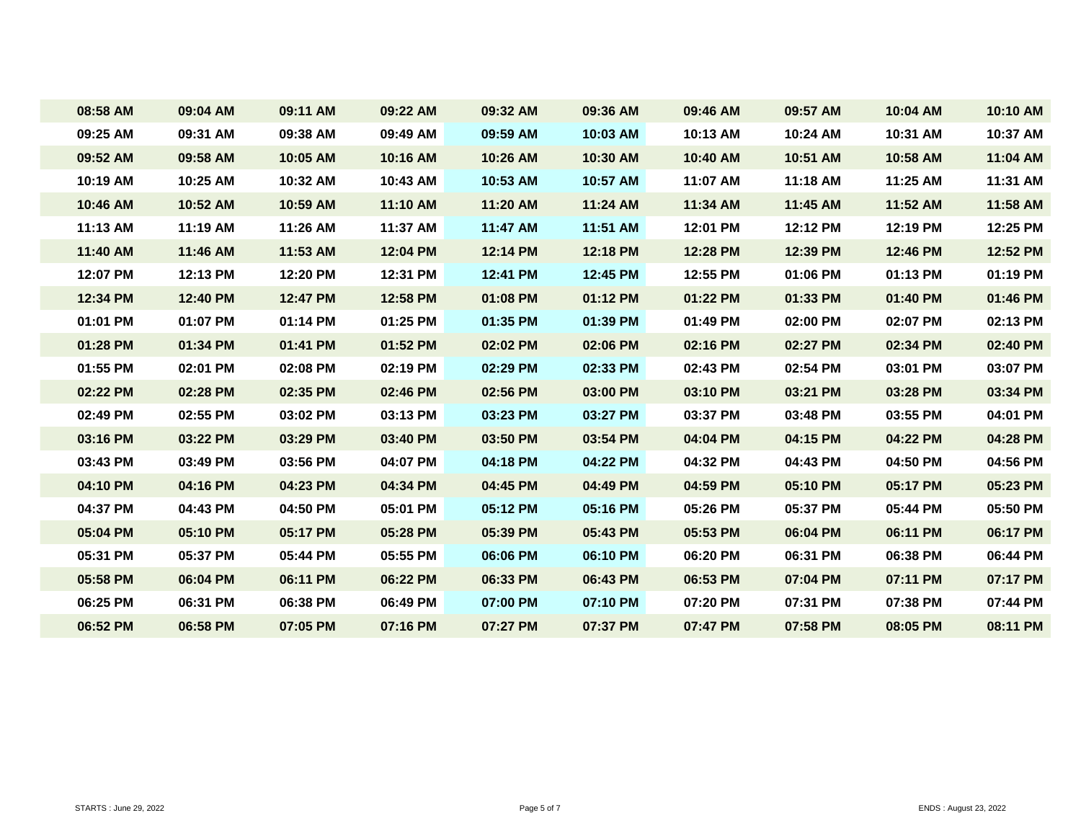| 08:58 AM | 09:04 AM | 09:11 AM | 09:22 AM | 09:32 AM | 09:36 AM | 09:46 AM | 09:57 AM | 10:04 AM | 10:10 AM |
|----------|----------|----------|----------|----------|----------|----------|----------|----------|----------|
| 09:25 AM | 09:31 AM | 09:38 AM | 09:49 AM | 09:59 AM | 10:03 AM | 10:13 AM | 10:24 AM | 10:31 AM | 10:37 AM |
| 09:52 AM | 09:58 AM | 10:05 AM | 10:16 AM | 10:26 AM | 10:30 AM | 10:40 AM | 10:51 AM | 10:58 AM | 11:04 AM |
| 10:19 AM | 10:25 AM | 10:32 AM | 10:43 AM | 10:53 AM | 10:57 AM | 11:07 AM | 11:18 AM | 11:25 AM | 11:31 AM |
| 10:46 AM | 10:52 AM | 10:59 AM | 11:10 AM | 11:20 AM | 11:24 AM | 11:34 AM | 11:45 AM | 11:52 AM | 11:58 AM |
| 11:13 AM | 11:19 AM | 11:26 AM | 11:37 AM | 11:47 AM | 11:51 AM | 12:01 PM | 12:12 PM | 12:19 PM | 12:25 PM |
| 11:40 AM | 11:46 AM | 11:53 AM | 12:04 PM | 12:14 PM | 12:18 PM | 12:28 PM | 12:39 PM | 12:46 PM | 12:52 PM |
| 12:07 PM | 12:13 PM | 12:20 PM | 12:31 PM | 12:41 PM | 12:45 PM | 12:55 PM | 01:06 PM | 01:13 PM | 01:19 PM |
| 12:34 PM | 12:40 PM | 12:47 PM | 12:58 PM | 01:08 PM | 01:12 PM | 01:22 PM | 01:33 PM | 01:40 PM | 01:46 PM |
| 01:01 PM | 01:07 PM | 01:14 PM | 01:25 PM | 01:35 PM | 01:39 PM | 01:49 PM | 02:00 PM | 02:07 PM | 02:13 PM |
| 01:28 PM | 01:34 PM | 01:41 PM | 01:52 PM | 02:02 PM | 02:06 PM | 02:16 PM | 02:27 PM | 02:34 PM | 02:40 PM |
| 01:55 PM | 02:01 PM | 02:08 PM | 02:19 PM | 02:29 PM | 02:33 PM | 02:43 PM | 02:54 PM | 03:01 PM | 03:07 PM |
| 02:22 PM | 02:28 PM | 02:35 PM | 02:46 PM | 02:56 PM | 03:00 PM | 03:10 PM | 03:21 PM | 03:28 PM | 03:34 PM |
| 02:49 PM | 02:55 PM | 03:02 PM | 03:13 PM | 03:23 PM | 03:27 PM | 03:37 PM | 03:48 PM | 03:55 PM | 04:01 PM |
| 03:16 PM | 03:22 PM | 03:29 PM | 03:40 PM | 03:50 PM | 03:54 PM | 04:04 PM | 04:15 PM | 04:22 PM | 04:28 PM |
| 03:43 PM | 03:49 PM | 03:56 PM | 04:07 PM | 04:18 PM | 04:22 PM | 04:32 PM | 04:43 PM | 04:50 PM | 04:56 PM |
| 04:10 PM | 04:16 PM | 04:23 PM | 04:34 PM | 04:45 PM | 04:49 PM | 04:59 PM | 05:10 PM | 05:17 PM | 05:23 PM |
| 04:37 PM | 04:43 PM | 04:50 PM | 05:01 PM | 05:12 PM | 05:16 PM | 05:26 PM | 05:37 PM | 05:44 PM | 05:50 PM |
| 05:04 PM | 05:10 PM | 05:17 PM | 05:28 PM | 05:39 PM | 05:43 PM | 05:53 PM | 06:04 PM | 06:11 PM | 06:17 PM |
| 05:31 PM | 05:37 PM | 05:44 PM | 05:55 PM | 06:06 PM | 06:10 PM | 06:20 PM | 06:31 PM | 06:38 PM | 06:44 PM |
| 05:58 PM | 06:04 PM | 06:11 PM | 06:22 PM | 06:33 PM | 06:43 PM | 06:53 PM | 07:04 PM | 07:11 PM | 07:17 PM |
| 06:25 PM | 06:31 PM | 06:38 PM | 06:49 PM | 07:00 PM | 07:10 PM | 07:20 PM | 07:31 PM | 07:38 PM | 07:44 PM |
| 06:52 PM | 06:58 PM | 07:05 PM | 07:16 PM | 07:27 PM | 07:37 PM | 07:47 PM | 07:58 PM | 08:05 PM | 08:11 PM |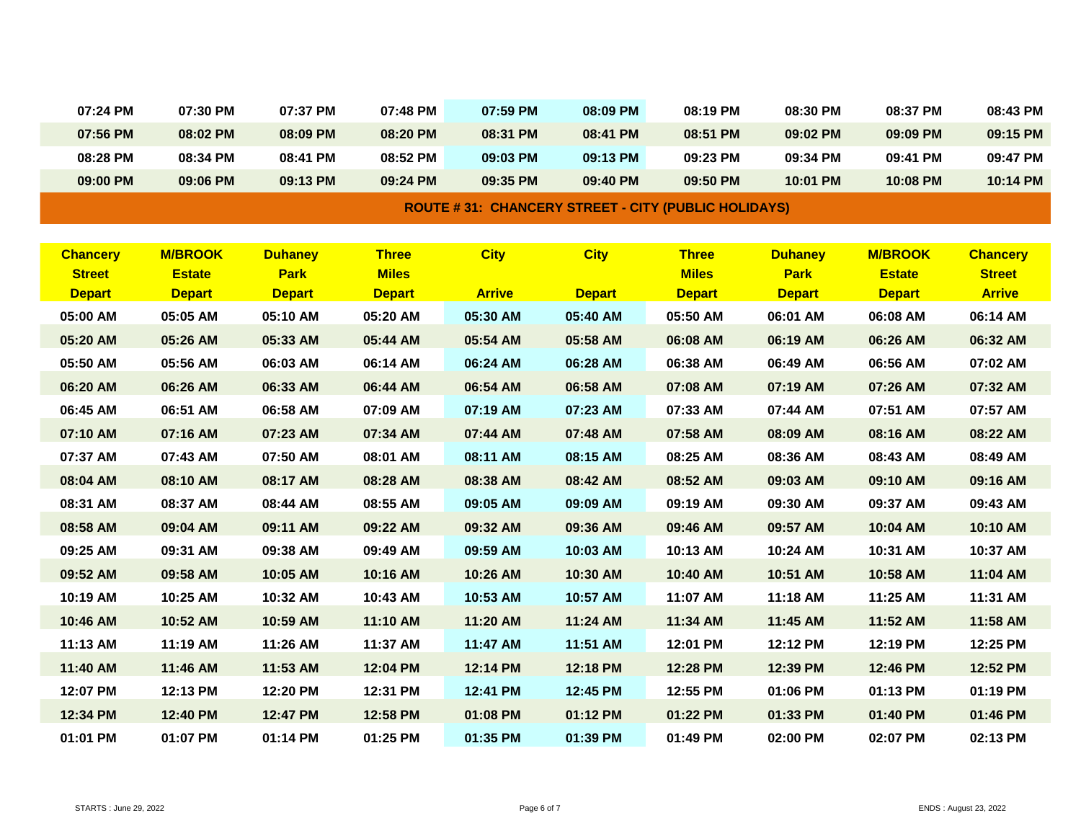| <b>DOUTE 4.94. CUANCEDV CTDEFT. CITY (DUDLIC UOLIDAVE)</b> |          |          |          |          |          |          |          |          |          |          |
|------------------------------------------------------------|----------|----------|----------|----------|----------|----------|----------|----------|----------|----------|
|                                                            | 09:00 PM | 09:06 PM | 09:13 PM | 09:24 PM | 09:35 PM | 09:40 PM | 09:50 PM | 10:01 PM | 10:08 PM | 10:14 PM |
|                                                            | 08:28 PM | 08:34 PM | 08:41 PM | 08:52 PM | 09:03 PM | 09:13 PM | 09:23 PM | 09:34 PM | 09:41 PM | 09:47 PM |
|                                                            | 07:56 PM | 08:02 PM | 08:09 PM | 08:20 PM | 08:31 PM | 08:41 PM | 08:51 PM | 09:02 PM | 09:09 PM | 09:15 PM |
|                                                            | 07:24 PM | 07:30 PM | 07:37 PM | 07:48 PM | 07:59 PM | 08:09 PM | 08:19 PM | 08:30 PM | 08:37 PM | 08:43 PM |
|                                                            |          |          |          |          |          |          |          |          |          |          |

**ROUTE # 31: CHANCERY STREET - CITY (PUBLIC HOLIDAYS)**

| <b>Chancery</b> | <b>M/BROOK</b> | <b>Duhaney</b> | <b>Three</b>  | <b>City</b>   | <b>City</b>   | <b>Three</b>  | <b>Duhaney</b> | <b>M/BROOK</b> | <b>Chancery</b> |
|-----------------|----------------|----------------|---------------|---------------|---------------|---------------|----------------|----------------|-----------------|
| <b>Street</b>   | <b>Estate</b>  | <b>Park</b>    | <b>Miles</b>  |               |               | <b>Miles</b>  | <b>Park</b>    | <b>Estate</b>  | <b>Street</b>   |
| <b>Depart</b>   | <b>Depart</b>  | <b>Depart</b>  | <b>Depart</b> | <b>Arrive</b> | <b>Depart</b> | <b>Depart</b> | <b>Depart</b>  | <b>Depart</b>  | <b>Arrive</b>   |
| 05:00 AM        | 05:05 AM       | 05:10 AM       | 05:20 AM      | 05:30 AM      | 05:40 AM      | 05:50 AM      | 06:01 AM       | 06:08 AM       | 06:14 AM        |
| 05:20 AM        | 05:26 AM       | 05:33 AM       | 05:44 AM      | 05:54 AM      | 05:58 AM      | 06:08 AM      | 06:19 AM       | 06:26 AM       | 06:32 AM        |
| 05:50 AM        | 05:56 AM       | 06:03 AM       | 06:14 AM      | 06:24 AM      | 06:28 AM      | 06:38 AM      | 06:49 AM       | 06:56 AM       | 07:02 AM        |
| 06:20 AM        | 06:26 AM       | 06:33 AM       | 06:44 AM      | 06:54 AM      | 06:58 AM      | 07:08 AM      | 07:19 AM       | 07:26 AM       | 07:32 AM        |
| 06:45 AM        | 06:51 AM       | 06:58 AM       | 07:09 AM      | 07:19 AM      | 07:23 AM      | 07:33 AM      | 07:44 AM       | 07:51 AM       | 07:57 AM        |
| 07:10 AM        | 07:16 AM       | 07:23 AM       | 07:34 AM      | 07:44 AM      | 07:48 AM      | 07:58 AM      | 08:09 AM       | 08:16 AM       | 08:22 AM        |
| 07:37 AM        | 07:43 AM       | 07:50 AM       | 08:01 AM      | 08:11 AM      | 08:15 AM      | 08:25 AM      | 08:36 AM       | 08:43 AM       | 08:49 AM        |
| 08:04 AM        | 08:10 AM       | 08:17 AM       | 08:28 AM      | 08:38 AM      | 08:42 AM      | 08:52 AM      | 09:03 AM       | 09:10 AM       | 09:16 AM        |
| 08:31 AM        | 08:37 AM       | 08:44 AM       | 08:55 AM      | 09:05 AM      | 09:09 AM      | 09:19 AM      | 09:30 AM       | 09:37 AM       | 09:43 AM        |
| 08:58 AM        | 09:04 AM       | 09:11 AM       | 09:22 AM      | 09:32 AM      | 09:36 AM      | 09:46 AM      | 09:57 AM       | 10:04 AM       | 10:10 AM        |
| 09:25 AM        | 09:31 AM       | 09:38 AM       | 09:49 AM      | 09:59 AM      | 10:03 AM      | 10:13 AM      | 10:24 AM       | 10:31 AM       | 10:37 AM        |
| 09:52 AM        | 09:58 AM       | 10:05 AM       | 10:16 AM      | 10:26 AM      | 10:30 AM      | 10:40 AM      | 10:51 AM       | 10:58 AM       | 11:04 AM        |
| 10:19 AM        | 10:25 AM       | 10:32 AM       | 10:43 AM      | 10:53 AM      | 10:57 AM      | 11:07 AM      | 11:18 AM       | 11:25 AM       | 11:31 AM        |
| 10:46 AM        | 10:52 AM       | 10:59 AM       | 11:10 AM      | 11:20 AM      | 11:24 AM      | 11:34 AM      | 11:45 AM       | 11:52 AM       | 11:58 AM        |
| 11:13 AM        | 11:19 AM       | 11:26 AM       | 11:37 AM      | 11:47 AM      | 11:51 AM      | 12:01 PM      | 12:12 PM       | 12:19 PM       | 12:25 PM        |
| 11:40 AM        | 11:46 AM       | 11:53 AM       | 12:04 PM      | 12:14 PM      | 12:18 PM      | 12:28 PM      | 12:39 PM       | 12:46 PM       | 12:52 PM        |
| 12:07 PM        | 12:13 PM       | 12:20 PM       | 12:31 PM      | 12:41 PM      | 12:45 PM      | 12:55 PM      | 01:06 PM       | 01:13 PM       | 01:19 PM        |
| 12:34 PM        | 12:40 PM       | 12:47 PM       | 12:58 PM      | 01:08 PM      | 01:12 PM      | 01:22 PM      | 01:33 PM       | 01:40 PM       | 01:46 PM        |
| 01:01 PM        | 01:07 PM       | 01:14 PM       | 01:25 PM      | 01:35 PM      | 01:39 PM      | 01:49 PM      | 02:00 PM       | 02:07 PM       | 02:13 PM        |